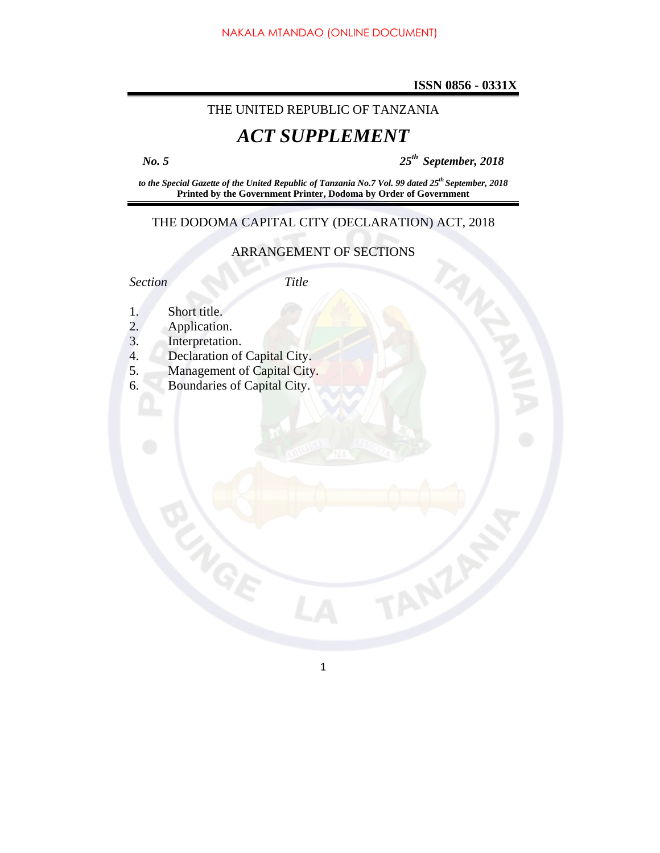## **ISSN 0856 - 0331X**

## THE UNITED REPUBLIC OF TANZANIA

# *ACT SUPPLEMENT*

*No. 5 25th September, 2018* 

*to the Special Gazette of the United Republic of Tanzania No.7 Vol. 99 dated 25th September, 2018*  **Printed by the Government Printer, Dodoma by Order of Government** 

THE DODOMA CAPITAL CITY (DECLARATION) ACT, 2018

## ARRANGEMENT OF SECTIONS

*Section Title* 

- 1. Short title.
- 2. Application.
- 3. Interpretation.
- 4. Declaration of Capital City.
- 5. Management of Capital City.
- 6. Boundaries of Capital City.

1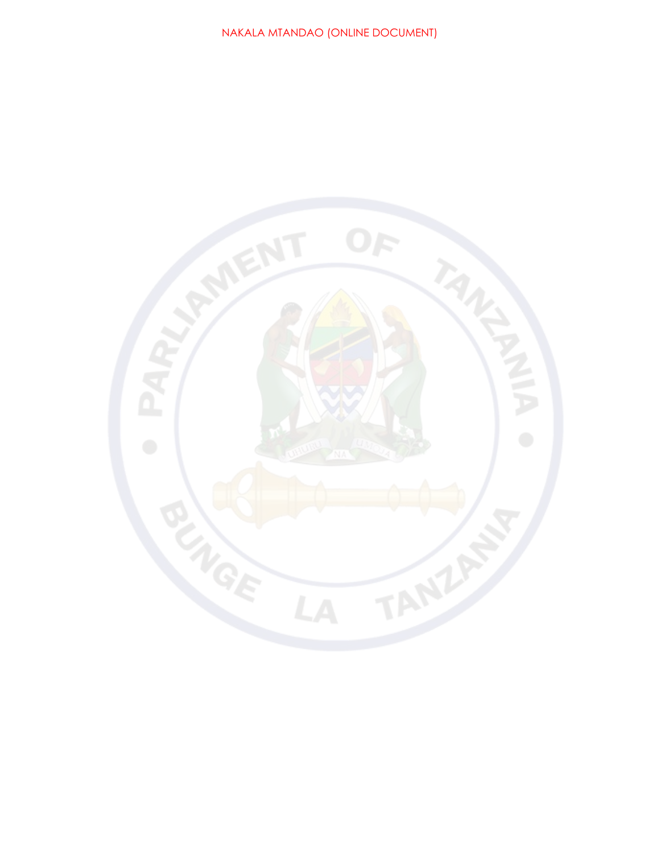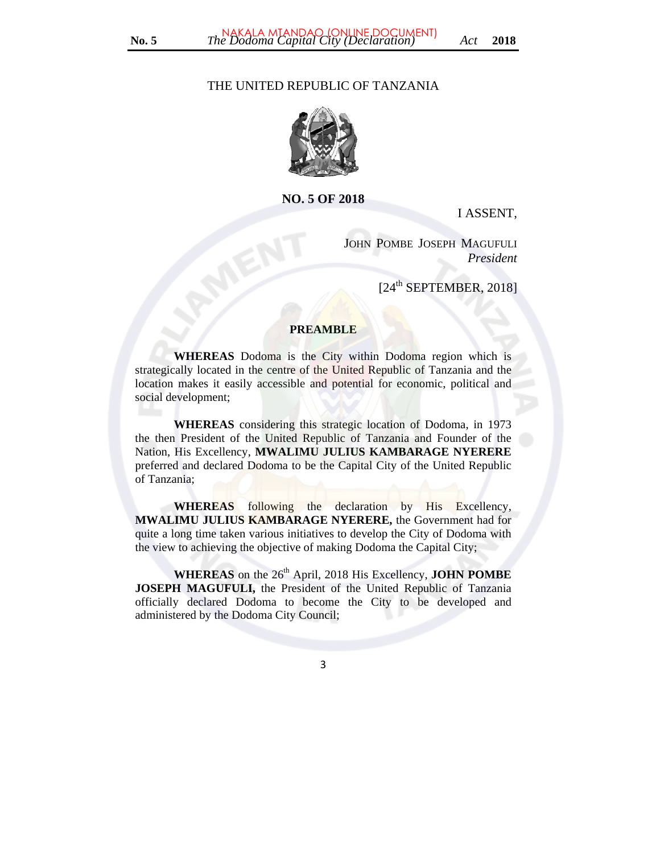## THE UNITED REPUBLIC OF TANZANIA



**NO. 5 OF 2018** 

I ASSENT,

JOHN POMBE JOSEPH MAGUFULI *President* 

[24th SEPTEMBER, 2018]

### **PREAMBLE**

**WHEREAS** Dodoma is the City within Dodoma region which is strategically located in the centre of the United Republic of Tanzania and the location makes it easily accessible and potential for economic, political and social development;

**WHEREAS** considering this strategic location of Dodoma, in 1973 the then President of the United Republic of Tanzania and Founder of the Nation, His Excellency, **MWALIMU JULIUS KAMBARAGE NYERERE** preferred and declared Dodoma to be the Capital City of the United Republic of Tanzania;

**WHEREAS** following the declaration by His Excellency, **MWALIMU JULIUS KAMBARAGE NYERERE,** the Government had for quite a long time taken various initiatives to develop the City of Dodoma with the view to achieving the objective of making Dodoma the Capital City;

WHEREAS on the 26<sup>th</sup> April, 2018 His Excellency, **JOHN POMBE JOSEPH MAGUFULI,** the President of the United Republic of Tanzania officially declared Dodoma to become the City to be developed and administered by the Dodoma City Council;

3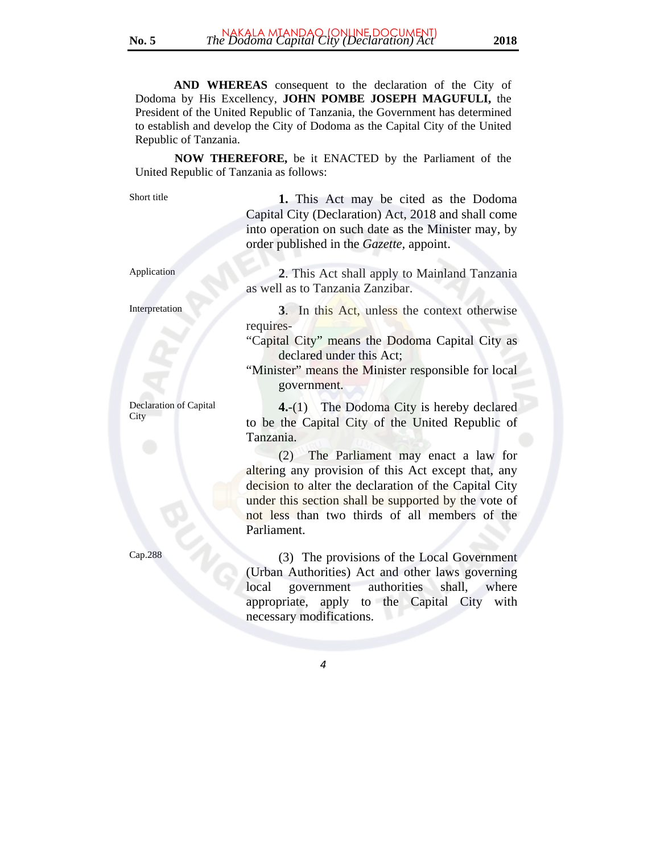**AND WHEREAS** consequent to the declaration of the City of Dodoma by His Excellency, **JOHN POMBE JOSEPH MAGUFULI,** the President of the United Republic of Tanzania, the Government has determined to establish and develop the City of Dodoma as the Capital City of the United Republic of Tanzania.

**NOW THEREFORE,** be it ENACTED by the Parliament of the United Republic of Tanzania as follows:

as well as to Tanzania Zanzibar.

Short title **1.** This Act may be cited as the Dodoma Capital City (Declaration) Act, 2018 and shall come into operation on such date as the Minister may, by order published in the *Gazette,* appoint.

Application **2**. This Act shall apply to Mainland Tanzania

Declaration of Capital **City** 

Interpretation **3**. In this Act, unless the context otherwise requires-

> "Capital City" means the Dodoma Capital City as declared under this Act;

> "Minister" means the Minister responsible for local government.

> **4.**-(1) The Dodoma City is hereby declared to be the Capital City of the United Republic of Tanzania.

> (2) The Parliament may enact a law for altering any provision of this Act except that, any decision to alter the declaration of the Capital City under this section shall be supported by the vote of not less than two thirds of all members of the Parliament.

Cap.288 (3) The provisions of the Local Government (Urban Authorities) Act and other laws governing local government authorities shall, where appropriate, apply to the Capital City with necessary modifications.